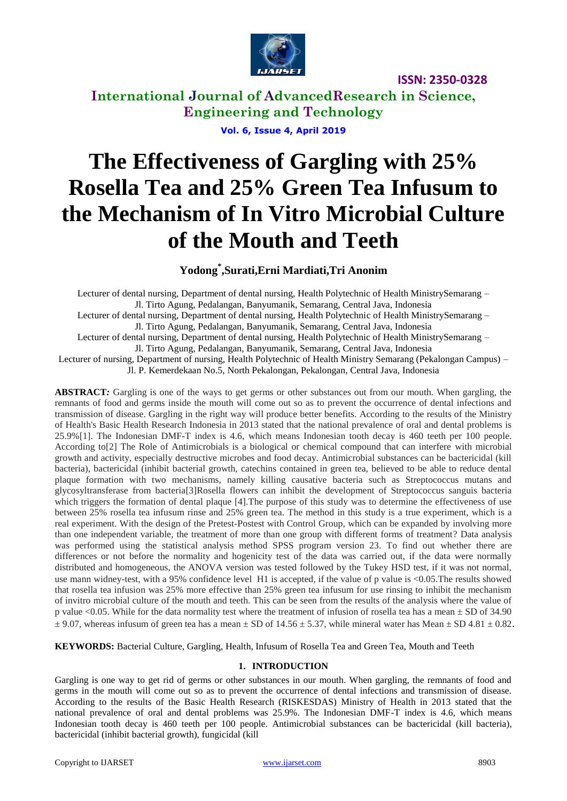

**International Journal of AdvancedResearch in Science, Engineering and Technology**

**Vol. 6, Issue 4, April 2019**

# **The Effectiveness of Gargling with 25% Rosella Tea and 25% Green Tea Infusum to the Mechanism of In Vitro Microbial Culture of the Mouth and Teeth**

## **Yodong\* ,Surati,Erni Mardiati,Tri Anonim**

Lecturer of dental nursing, Department of dental nursing, Health Polytechnic of Health MinistrySemarang – Jl. Tirto Agung, Pedalangan, Banyumanik, Semarang, Central Java, Indonesia Lecturer of dental nursing, Department of dental nursing, Health Polytechnic of Health MinistrySemarang – Jl. Tirto Agung, Pedalangan, Banyumanik, Semarang, Central Java, Indonesia Lecturer of dental nursing, Department of dental nursing, Health Polytechnic of Health MinistrySemarang – Jl. Tirto Agung, Pedalangan, Banyumanik, Semarang, Central Java, Indonesia Lecturer of nursing, Department of nursing, Health Polytechnic of Health Ministry Semarang (Pekalongan Campus) – Jl. P. Kemerdekaan No.5, North Pekalongan, Pekalongan, Central Java, Indonesia

**ABSTRACT***:* Gargling is one of the ways to get germs or other substances out from our mouth. When gargling, the remnants of food and germs inside the mouth will come out so as to prevent the occurrence of dental infections and transmission of disease. Gargling in the right way will produce better benefits. According to the results of the Ministry of Health's Basic Health Research Indonesia in 2013 stated that the national prevalence of oral and dental problems is 25.9%[1]. The Indonesian DMF-T index is 4.6, which means Indonesian tooth decay is 460 teeth per 100 people. According to[2] The Role of Antimicrobials is a biological or chemical compound that can interfere with microbial growth and activity, especially destructive microbes and food decay. Antimicrobial substances can be bactericidal (kill bacteria), bactericidal (inhibit bacterial growth, catechins contained in green tea, believed to be able to reduce dental plaque formation with two mechanisms, namely killing causative bacteria such as Streptococcus mutans and glycosyltransferase from bacteria[3]Rosella flowers can inhibit the development of Streptococcus sanguis bacteria which triggers the formation of dental plaque [4].The purpose of this study was to determine the effectiveness of use between 25% rosella tea infusum rinse and 25% green tea. The method in this study is a true experiment, which is a real experiment. With the design of the Pretest-Postest with Control Group, which can be expanded by involving more than one independent variable, the treatment of more than one group with different forms of treatment? Data analysis was performed using the statistical analysis method SPSS program version 23. To find out whether there are differences or not before the normality and hogenicity test of the data was carried out, if the data were normally distributed and homogeneous, the ANOVA version was tested followed by the Tukey HSD test, if it was not normal, use mann widney-test, with a 95% confidence level H1 is accepted, if the value of p value is <0.05.The results showed that rosella tea infusion was 25% more effective than 25% green tea infusum for use rinsing to inhibit the mechanism of invitro microbial culture of the mouth and teeth. This can be seen from the results of the analysis where the value of p value  $\leq 0.05$ . While for the data normality test where the treatment of infusion of rosella tea has a mean  $\pm$  SD of 34.90  $\pm$  9.07, whereas infusum of green tea has a mean  $\pm$  SD of 14.56  $\pm$  5.37, while mineral water has Mean  $\pm$  SD 4.81  $\pm$  0.82.

**KEYWORDS:** Bacterial Culture, Gargling, Health, Infusum of Rosella Tea and Green Tea, Mouth and Teeth

#### **1. INTRODUCTION**

Gargling is one way to get rid of germs or other substances in our mouth. When gargling, the remnants of food and germs in the mouth will come out so as to prevent the occurrence of dental infections and transmission of disease. According to the results of the Basic Health Research (RISKESDAS) Ministry of Health in 2013 stated that the national prevalence of oral and dental problems was 25.9%. The Indonesian DMF-T index is 4.6, which means Indonesian tooth decay is 460 teeth per 100 people. Antimicrobial substances can be bactericidal (kill bacteria), bactericidal (inhibit bacterial growth), fungicidal (kill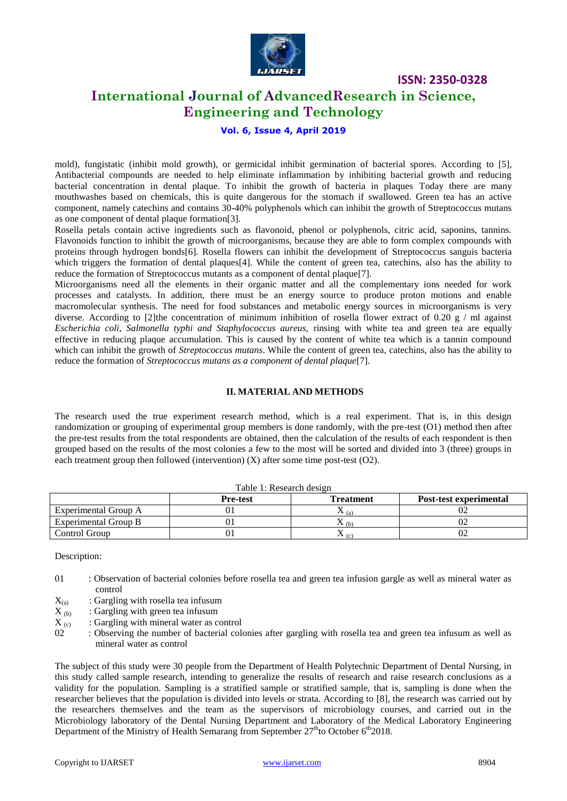

# **International Journal of AdvancedResearch in Science, Engineering and Technology**

#### **Vol. 6, Issue 4, April 2019**

mold), fungistatic (inhibit mold growth), or germicidal inhibit germination of bacterial spores. According to [5], Antibacterial compounds are needed to help eliminate inflammation by inhibiting bacterial growth and reducing bacterial concentration in dental plaque. To inhibit the growth of bacteria in plaques Today there are many mouthwashes based on chemicals, this is quite dangerous for the stomach if swallowed. Green tea has an active component, namely catechins and contains 30-40% polyphenols which can inhibit the growth of Streptococcus mutans as one component of dental plaque formation[3].

Rosella petals contain active ingredients such as flavonoid, phenol or polyphenols, citric acid, saponins, tannins. Flavonoids function to inhibit the growth of microorganisms, because they are able to form complex compounds with proteins through hydrogen bonds[6]. Rosella flowers can inhibit the development of Streptococcus sanguis bacteria which triggers the formation of dental plaques[4]. While the content of green tea, catechins, also has the ability to reduce the formation of Streptococcus mutants as a component of dental plaque[7].

Microorganisms need all the elements in their organic matter and all the complementary ions needed for work processes and catalysts. In addition, there must be an energy source to produce proton motions and enable macromolecular synthesis. The need for food substances and metabolic energy sources in microorganisms is very diverse. According to [2]the concentration of minimum inhibition of rosella flower extract of 0.20 g / ml against *Escherichia coli, Salmonella typhi and Staphylococcus aureus,* rinsing with white tea and green tea are equally effective in reducing plaque accumulation. This is caused by the content of white tea which is a tannin compound which can inhibit the growth of *Streptococcus mutans*. While the content of green tea, catechins, also has the ability to reduce the formation of *Streptococcus mutans as a component of dental plaque*[7]*.*

#### **II. MATERIAL AND METHODS**

The research used the true experiment research method, which is a real experiment. That is, in this design randomization or grouping of experimental group members is done randomly, with the pre-test (O1) method then after the pre-test results from the total respondents are obtained, then the calculation of the results of each respondent is then grouped based on the results of the most colonies a few to the most will be sorted and divided into 3 (three) groups in each treatment group then followed (intervention)  $(X)$  after some time post-test  $(O2)$ .

|                      | <b>Pre-test</b> | <b>Treatment</b> | Post-test experimental |  |  |  |
|----------------------|-----------------|------------------|------------------------|--|--|--|
| Experimental Group A |                 | ∡⊾ (al           |                        |  |  |  |
| Experimental Group B |                 | (h)              |                        |  |  |  |
| Control Group        |                 | $\Delta$ (c)     |                        |  |  |  |

Table 1: Research design

Description:

- 01 : Observation of bacterial colonies before rosella tea and green tea infusion gargle as well as mineral water as control
- 
- $X_{(a)}$  : Gargling with rosella tea infusum<br> $X_{(b)}$  : Gargling with green tea infusum  $X_{(b)}$  : Gargling with green tea infusum<br> $X_{(c)}$  : Gargling with mineral water as c
- $X_{(c)}$  : Gargling with mineral water as control<br>02 : Observing the number of bacterial cole
- 02 : Observing the number of bacterial colonies after gargling with rosella tea and green tea infusum as well as mineral water as control

The subject of this study were 30 people from the Department of Health Polytechnic Department of Dental Nursing, in this study called sample research, intending to generalize the results of research and raise research conclusions as a validity for the population. Sampling is a stratified sample or stratified sample, that is, sampling is done when the researcher believes that the population is divided into levels or strata. According to [8], the research was carried out by the researchers themselves and the team as the supervisors of microbiology courses, and carried out in the Microbiology laboratory of the Dental Nursing Department and Laboratory of the Medical Laboratory Engineering Department of the Ministry of Health Semarang from September 27<sup>th</sup>to October 6<sup>th</sup>2018.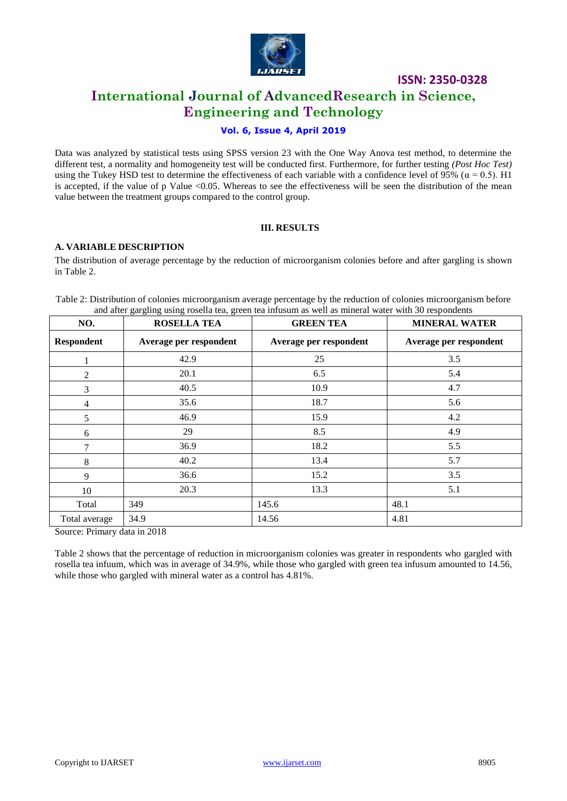

# **International Journal of AdvancedResearch in Science, Engineering and Technology**

## **Vol. 6, Issue 4, April 2019**

Data was analyzed by statistical tests using SPSS version 23 with the One Way Anova test method, to determine the different test, a normality and homogeneity test will be conducted first. Furthermore, for further testing *(Post Hoc Test)* using the Tukey HSD test to determine the effectiveness of each variable with a confidence level of 95% ( $\alpha$  = 0.5). H1 is accepted, if the value of p Value <0.05. Whereas to see the effectiveness will be seen the distribution of the mean value between the treatment groups compared to the control group.

### **III. RESULTS**

### **A. VARIABLE DESCRIPTION**

The distribution of average percentage by the reduction of microorganism colonies before and after gargling is shown in Table 2.

| NO.               | <b>ROSELLA TEA</b>     | <b>GREEN TEA</b>       | <b>MINERAL WATER</b>   |
|-------------------|------------------------|------------------------|------------------------|
| <b>Respondent</b> | Average per respondent | Average per respondent | Average per respondent |
|                   | 42.9                   | 25                     | 3.5                    |
| 2                 | 20.1                   | 6.5                    | 5.4                    |
| 3                 | 40.5                   | 10.9                   | 4.7                    |
| $\overline{4}$    | 35.6                   | 18.7                   | 5.6                    |
| 5                 | 46.9                   | 15.9                   | 4.2                    |
| 6                 | 29                     | 8.5                    | 4.9                    |
| 7                 | 36.9                   | 18.2                   | 5.5                    |
| 8                 | 40.2                   | 13.4                   | 5.7                    |
| 9                 | 36.6                   | 15.2                   | 3.5                    |
| 10                | 20.3                   | 13.3                   | 5.1                    |
| Total             | 349                    | 145.6                  | 48.1                   |
| Total average     | 34.9                   | 14.56                  | 4.81                   |

Table 2: Distribution of colonies microorganism average percentage by the reduction of colonies microorganism before and after gargling using rosella tea, green tea infusum as well as mineral water with 30 respondents

Source: Primary data in 2018

Table 2 shows that the percentage of reduction in microorganism colonies was greater in respondents who gargled with rosella tea infuum, which was in average of 34.9%, while those who gargled with green tea infusum amounted to 14.56, while those who gargled with mineral water as a control has 4.81%.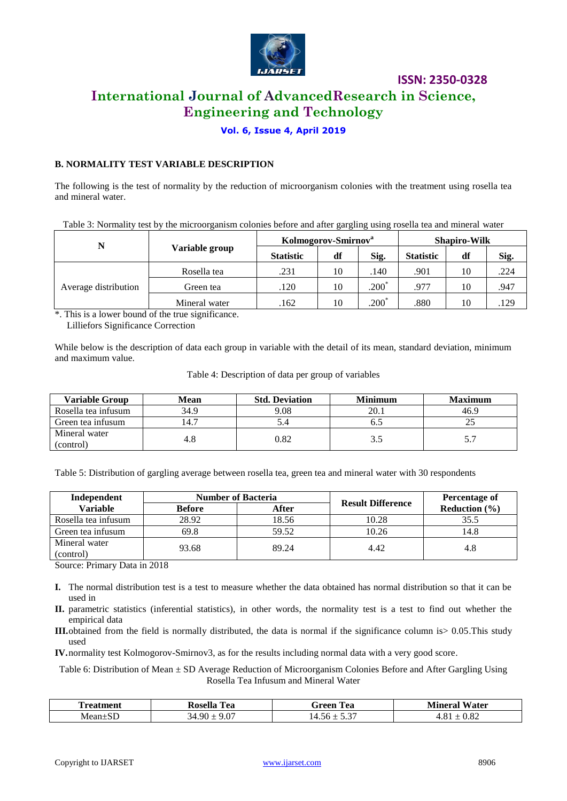

# **International Journal of AdvancedResearch in Science, Engineering and Technology**

**Vol. 6, Issue 4, April 2019**

## **B. NORMALITY TEST VARIABLE DESCRIPTION**

The following is the test of normality by the reduction of microorganism colonies with the treatment using rosella tea and mineral water.

Table 3: Normality test by the microorganism colonies before and after gargling using rosella tea and mineral water

| N                    |                | Kolmogorov-Smirnov <sup>a</sup> |    |         | <b>Shapiro-Wilk</b> |    |      |
|----------------------|----------------|---------------------------------|----|---------|---------------------|----|------|
|                      | Variable group | <b>Statistic</b>                | df | Sig.    | <b>Statistic</b>    | df | Sig. |
|                      | Rosella tea    | .231                            | 10 | 140     | .901                | 10 | 224  |
| Average distribution | Green tea      | .120                            | 10 | $.200*$ | .977                | 10 | 947  |
|                      | Mineral water  | .162                            | 10 | $.200*$ | .880                | 10 | .129 |

\*. This is a lower bound of the true significance. Lilliefors Significance Correction

While below is the description of data each group in variable with the detail of its mean, standard deviation, minimum and maximum value.

| <b>Variable Group</b> | Mean | <b>Std. Deviation</b> | <b>Minimum</b> | <b>Maximum</b> |
|-----------------------|------|-----------------------|----------------|----------------|
| Rosella tea infusum   | 34.9 | 9.08                  | 20.1           | 46.9           |
| Green tea infusum     | 14.7 |                       | 6.5            |                |
| Mineral water         | 4.8  | 0.82                  | 3.5            |                |
| (control)             |      |                       |                |                |

Table 4: Description of data per group of variables

Table 5: Distribution of gargling average between rosella tea, green tea and mineral water with 30 respondents

| Independent         | <b>Number of Bacteria</b> |       | <b>Result Difference</b> | Percentage of            |
|---------------------|---------------------------|-------|--------------------------|--------------------------|
| Variable            | <b>Before</b>             | After |                          | <b>Reduction</b> $(\% )$ |
| Rosella tea infusum | 28.92                     | 18.56 | 10.28                    | 35.5                     |
| Green tea infusum   | 69.8                      | 59.52 | 10.26                    | 14.8                     |
| Mineral water       | 93.68                     | 89.24 | 4.42                     | 4.8                      |
| (control)           |                           |       |                          |                          |

Source: Primary Data in 2018

- **I.** The normal distribution test is a test to measure whether the data obtained has normal distribution so that it can be used in
- **II.** parametric statistics (inferential statistics), in other words, the normality test is a test to find out whether the empirical data
- **III.**obtained from the field is normally distributed, the data is normal if the significance column is> 0.05.This study used

**IV.**normality test Kolmogorov-Smirnov3, as for the results including normal data with a very good score.

Table 6: Distribution of Mean ± SD Average Reduction of Microorganism Colonies Before and After Gargling Using Rosella Tea Infusum and Mineral Water

| --<br>™men.<br>reat<br>. . | ш<br><br>'acallo<br>rea<br>TIO2.               | m<br>l'ea<br>Green | T<br>. .<br>Water<br>Mıner |
|----------------------------|------------------------------------------------|--------------------|----------------------------|
| $\sim$ $\sim$<br>Mean±SD   | $\sim$ $\sim$<br>$\Omega$<br>: 34<br>$\cdot$ v | $\sim$<br>ັ້       | റ റെ<br><b></b>            |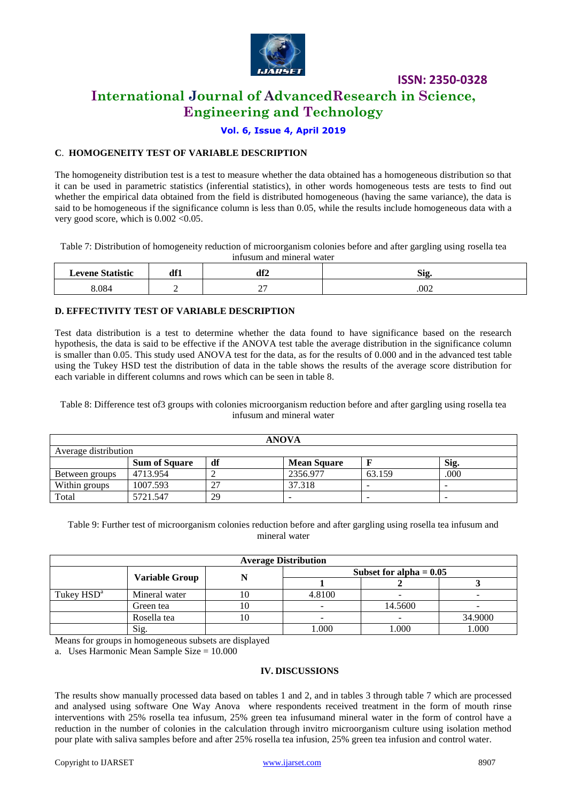

# **International Journal of AdvancedResearch in Science, Engineering and Technology**

## **Vol. 6, Issue 4, April 2019**

## **C**. **HOMOGENEITY TEST OF VARIABLE DESCRIPTION**

The homogeneity distribution test is a test to measure whether the data obtained has a homogeneous distribution so that it can be used in parametric statistics (inferential statistics), in other words homogeneous tests are tests to find out whether the empirical data obtained from the field is distributed homogeneous (having the same variance), the data is said to be homogeneous if the significance column is less than 0.05, while the results include homogeneous data with a very good score, which is  $0.002 \le 0.05$ .

Table 7: Distribution of homogeneity reduction of microorganism colonies before and after gargling using rosella tea infusum and mineral water

| $\alpha$ | Af1 | <b>JP5</b><br>~<br>ul∠    | <b>Sig</b> |
|----------|-----|---------------------------|------------|
| 0.004    | -   | $\sim$ $\sim$<br><u>.</u> | .002       |

## **D. EFFECTIVITY TEST OF VARIABLE DESCRIPTION**

Test data distribution is a test to determine whether the data found to have significance based on the research hypothesis, the data is said to be effective if the ANOVA test table the average distribution in the significance column is smaller than 0.05. This study used ANOVA test for the data, as for the results of 0.000 and in the advanced test table using the Tukey HSD test the distribution of data in the table shows the results of the average score distribution for each variable in different columns and rows which can be seen in table 8.

Table 8: Difference test of3 groups with colonies microorganism reduction before and after gargling using rosella tea infusum and mineral water

| <b>ANOVA</b>                                             |          |    |          |        |                          |
|----------------------------------------------------------|----------|----|----------|--------|--------------------------|
| Average distribution                                     |          |    |          |        |                          |
| df<br>Sig.<br><b>Sum of Square</b><br><b>Mean Square</b> |          |    |          |        |                          |
| Between groups                                           | 4713.954 |    | 2356.977 | 63.159 | .000                     |
| Within groups                                            | 1007.593 | 27 | 37.318   |        | $\overline{\phantom{a}}$ |
| Total                                                    | 5721.547 | 29 | -        |        | $\overline{\phantom{a}}$ |

Table 9: Further test of microorganism colonies reduction before and after gargling using rosella tea infusum and mineral water

| <b>Average Distribution</b> |                       |    |                           |         |         |
|-----------------------------|-----------------------|----|---------------------------|---------|---------|
|                             |                       |    | Subset for alpha $= 0.05$ |         |         |
|                             | <b>Variable Group</b> |    |                           |         |         |
| Tukey HSD <sup>a</sup>      | Mineral water         |    | 4.8100                    |         | -       |
|                             | Green tea             |    | $\overline{\phantom{0}}$  | 14.5600 |         |
|                             | Rosella tea           | 10 | $\overline{\phantom{a}}$  |         | 34.9000 |
|                             | Sig.                  |    | .000                      | .000    | 1.000   |

Means for groups in homogeneous subsets are displayed

a. Uses Harmonic Mean Sample Size = 10.000

#### **IV. DISCUSSIONS**

The results show manually processed data based on tables 1 and 2, and in tables 3 through table 7 which are processed and analysed using software One Way Anova where respondents received treatment in the form of mouth rinse interventions with 25% rosella tea infusum, 25% green tea infusumand mineral water in the form of control have a reduction in the number of colonies in the calculation through invitro microorganism culture using isolation method pour plate with saliva samples before and after 25% rosella tea infusion, 25% green tea infusion and control water.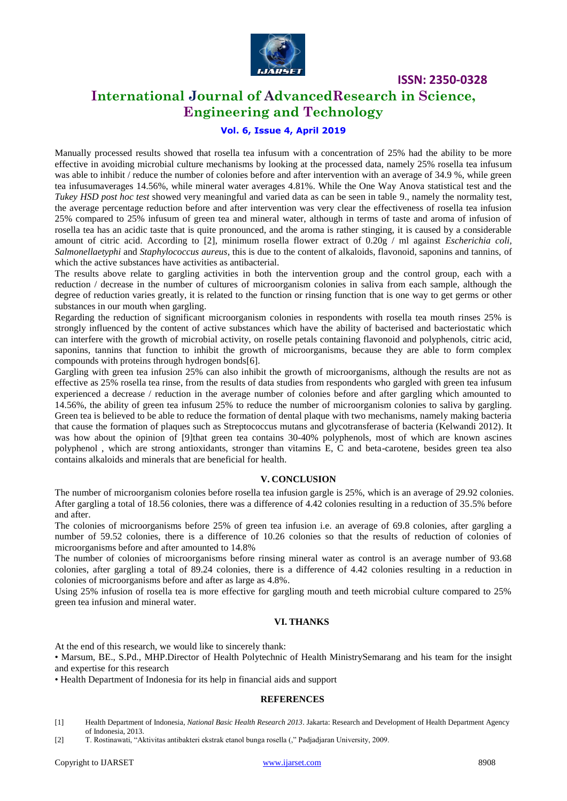

# **International Journal of AdvancedResearch in Science, Engineering and Technology**

## **Vol. 6, Issue 4, April 2019**

Manually processed results showed that rosella tea infusum with a concentration of 25% had the ability to be more effective in avoiding microbial culture mechanisms by looking at the processed data, namely 25% rosella tea infusum was able to inhibit / reduce the number of colonies before and after intervention with an average of 34.9 %, while green tea infusumaverages 14.56%, while mineral water averages 4.81%. While the One Way Anova statistical test and the *Tukey HSD post hoc test* showed very meaningful and varied data as can be seen in table 9., namely the normality test, the average percentage reduction before and after intervention was very clear the effectiveness of rosella tea infusion 25% compared to 25% infusum of green tea and mineral water, although in terms of taste and aroma of infusion of rosella tea has an acidic taste that is quite pronounced, and the aroma is rather stinging, it is caused by a considerable amount of citric acid. According to [2], minimum rosella flower extract of 0.20g / ml against *Escherichia coli, Salmonellaetyphi* and *Staphylococcus aureus*, this is due to the content of alkaloids, flavonoid, saponins and tannins, of which the active substances have activities as antibacterial.

The results above relate to gargling activities in both the intervention group and the control group, each with a reduction / decrease in the number of cultures of microorganism colonies in saliva from each sample, although the degree of reduction varies greatly, it is related to the function or rinsing function that is one way to get germs or other substances in our mouth when gargling.

Regarding the reduction of significant microorganism colonies in respondents with rosella tea mouth rinses 25% is strongly influenced by the content of active substances which have the ability of bacterised and bacteriostatic which can interfere with the growth of microbial activity, on roselle petals containing flavonoid and polyphenols, citric acid, saponins, tannins that function to inhibit the growth of microorganisms, because they are able to form complex compounds with proteins through hydrogen bonds[6].

Gargling with green tea infusion 25% can also inhibit the growth of microorganisms, although the results are not as effective as 25% rosella tea rinse, from the results of data studies from respondents who gargled with green tea infusum experienced a decrease / reduction in the average number of colonies before and after gargling which amounted to 14.56%, the ability of green tea infusum 25% to reduce the number of microorganism colonies to saliva by gargling. Green tea is believed to be able to reduce the formation of dental plaque with two mechanisms, namely making bacteria that cause the formation of plaques such as Streptococcus mutans and glycotransferase of bacteria (Kelwandi 2012). It was how about the opinion of [9]that green tea contains 30-40% polyphenols, most of which are known ascines polyphenol , which are strong antioxidants, stronger than vitamins E, C and beta-carotene, besides green tea also contains alkaloids and minerals that are beneficial for health.

#### **V. CONCLUSION**

The number of microorganism colonies before rosella tea infusion gargle is 25%, which is an average of 29.92 colonies. After gargling a total of 18.56 colonies, there was a difference of 4.42 colonies resulting in a reduction of 35.5% before and after.

The colonies of microorganisms before 25% of green tea infusion i.e. an average of 69.8 colonies, after gargling a number of 59.52 colonies, there is a difference of 10.26 colonies so that the results of reduction of colonies of microorganisms before and after amounted to 14.8%

The number of colonies of microorganisms before rinsing mineral water as control is an average number of 93.68 colonies, after gargling a total of 89.24 colonies, there is a difference of 4.42 colonies resulting in a reduction in colonies of microorganisms before and after as large as 4.8%.

Using 25% infusion of rosella tea is more effective for gargling mouth and teeth microbial culture compared to 25% green tea infusion and mineral water.

#### **VI. THANKS**

At the end of this research, we would like to sincerely thank:

• Marsum, BE., S.Pd., MHP.Director of Health Polytechnic of Health MinistrySemarang and his team for the insight and expertise for this research

• Health Department of Indonesia for its help in financial aids and support

#### **REFERENCES**

- [1] Health Department of Indonesia, *National Basic Health Research 2013*. Jakarta: Research and Development of Health Department Agency of Indonesia, 2013.
- [2] T. Rostinawati, "Aktivitas antibakteri ekstrak etanol bunga rosella (," Padjadjaran University, 2009.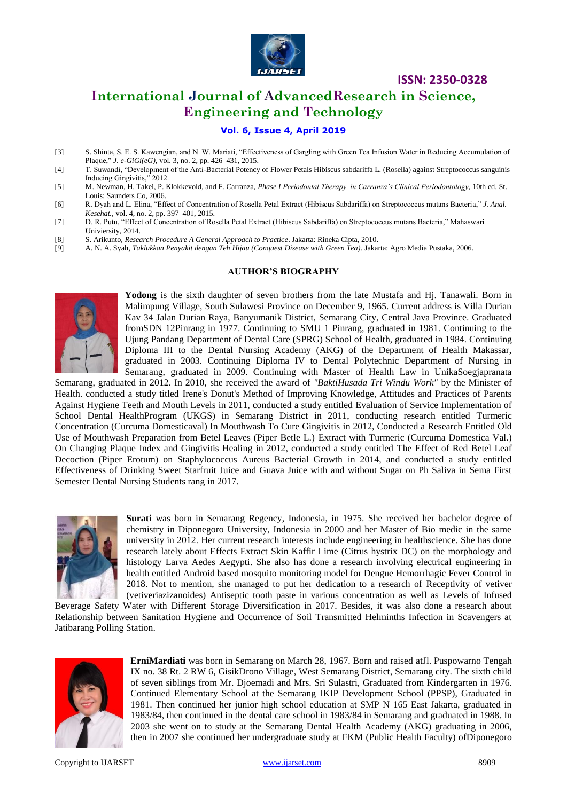

# **International Journal of AdvancedResearch in Science, Engineering and Technology**

## **Vol. 6, Issue 4, April 2019**

- [3] S. Shinta, S. E. S. Kawengian, and N. W. Mariati, "Effectiveness of Gargling with Green Tea Infusion Water in Reducing Accumulation of Plaque," *J. e-GiGi(eG)*, vol. 3, no. 2, pp. 426–431, 2015.
- [4] T. Suwandi, "Development of the Anti-Bacterial Potency of Flower Petals Hibiscus sabdariffa L. (Rosella) against Streptococcus sanguinis Inducing Gingivitis," 2012.
- [5] M. Newman, H. Takei, P. Klokkevold, and F. Carranza, *Phase I Periodontal Therapy, in Carranza's Clinical Periodontology*, 10th ed. St. Louis: Saunders Co, 2006.
- [6] R. Dyah and L. Elina, "Effect of Concentration of Rosella Petal Extract (Hibiscus Sabdariffa) on Streptococcus mutans Bacteria," *J. Anal. Kesehat.*, vol. 4, no. 2, pp. 397–401, 2015.
- [7] D. R. Putu, "Effect of Concentration of Rosella Petal Extract (Hibiscus Sabdariffa) on Streptococcus mutans Bacteria," Mahaswari Univiersity, 2014.
- [8] S. Arikunto, *Research Procedure A General Approach to Practice*. Jakarta: Rineka Cipta, 2010.
- [9] A. N. A. Syah, *Taklukkan Penyakit dengan Teh Hijau (Conquest Disease with Green Tea)*. Jakarta: Agro Media Pustaka, 2006.

#### **AUTHOR'S BIOGRAPHY**



**Yodong** is the sixth daughter of seven brothers from the late Mustafa and Hj. Tanawali. Born in Malimpung Village, South Sulawesi Province on December 9, 1965. Current address is Villa Durian Kav 34 Jalan Durian Raya, Banyumanik District, Semarang City, Central Java Province. Graduated fromSDN 12Pinrang in 1977. Continuing to SMU 1 Pinrang, graduated in 1981. Continuing to the Ujung Pandang Department of Dental Care (SPRG) School of Health, graduated in 1984. Continuing Diploma III to the Dental Nursing Academy (AKG) of the Department of Health Makassar, graduated in 2003. Continuing Diploma IV to Dental Polytechnic Department of Nursing in Semarang, graduated in 2009. Continuing with Master of Health Law in UnikaSoegjapranata

Semarang, graduated in 2012. In 2010, she received the award of *"BaktiHusada Tri Windu Work"* by the Minister of Health. conducted a study titled Irene's Donut's Method of Improving Knowledge, Attitudes and Practices of Parents Against Hygiene Teeth and Mouth Levels in 2011, conducted a study entitled Evaluation of Service Implementation of School Dental HealthProgram (UKGS) in Semarang District in 2011, conducting research entitled Turmeric Concentration (Curcuma Domesticaval) In Mouthwash To Cure Gingivitis in 2012, Conducted a Research Entitled Old Use of Mouthwash Preparation from Betel Leaves (Piper Betle L.) Extract with Turmeric (Curcuma Domestica Val.) On Changing Plaque Index and Gingivitis Healing in 2012, conducted a study entitled The Effect of Red Betel Leaf Decoction (Piper Erotum) on Staphylococcus Aureus Bacterial Growth in 2014, and conducted a study entitled Effectiveness of Drinking Sweet Starfruit Juice and Guava Juice with and without Sugar on Ph Saliva in Sema First Semester Dental Nursing Students rang in 2017.



**Surati** was born in Semarang Regency, Indonesia, in 1975. She received her bachelor degree of chemistry in Diponegoro University, Indonesia in 2000 and her Master of Bio medic in the same university in 2012. Her current research interests include engineering in healthscience. She has done research lately about Effects Extract Skin Kaffir Lime (Citrus hystrix DC) on the morphology and histology Larva Aedes Aegypti. She also has done a research involving electrical engineering in health entitled Android based mosquito monitoring model for Dengue Hemorrhagic Fever Control in 2018. Not to mention, she managed to put her dedication to a research of Receptivity of vetiver (vetiveriazizanoides) Antiseptic tooth paste in various concentration as well as Levels of Infused

Beverage Safety Water with Different Storage Diversification in 2017. Besides, it was also done a research about Relationship between Sanitation Hygiene and Occurrence of Soil Transmitted Helminths Infection in Scavengers at Jatibarang Polling Station.



**ErniMardiati** was born in Semarang on March 28, 1967. Born and raised atJl. Puspowarno Tengah IX no. 38 Rt. 2 RW 6, GisikDrono Village, West Semarang District, Semarang city. The sixth child of seven siblings from Mr. Djoemadi and Mrs. Sri Sulastri, Graduated from Kindergarten in 1976. Continued Elementary School at the Semarang IKIP Development School (PPSP), Graduated in 1981. Then continued her junior high school education at SMP N 165 East Jakarta, graduated in 1983/84, then continued in the dental care school in 1983/84 in Semarang and graduated in 1988. In 2003 she went on to study at the Semarang Dental Health Academy (AKG) graduating in 2006, then in 2007 she continued her undergraduate study at FKM (Public Health Faculty) ofDiponegoro